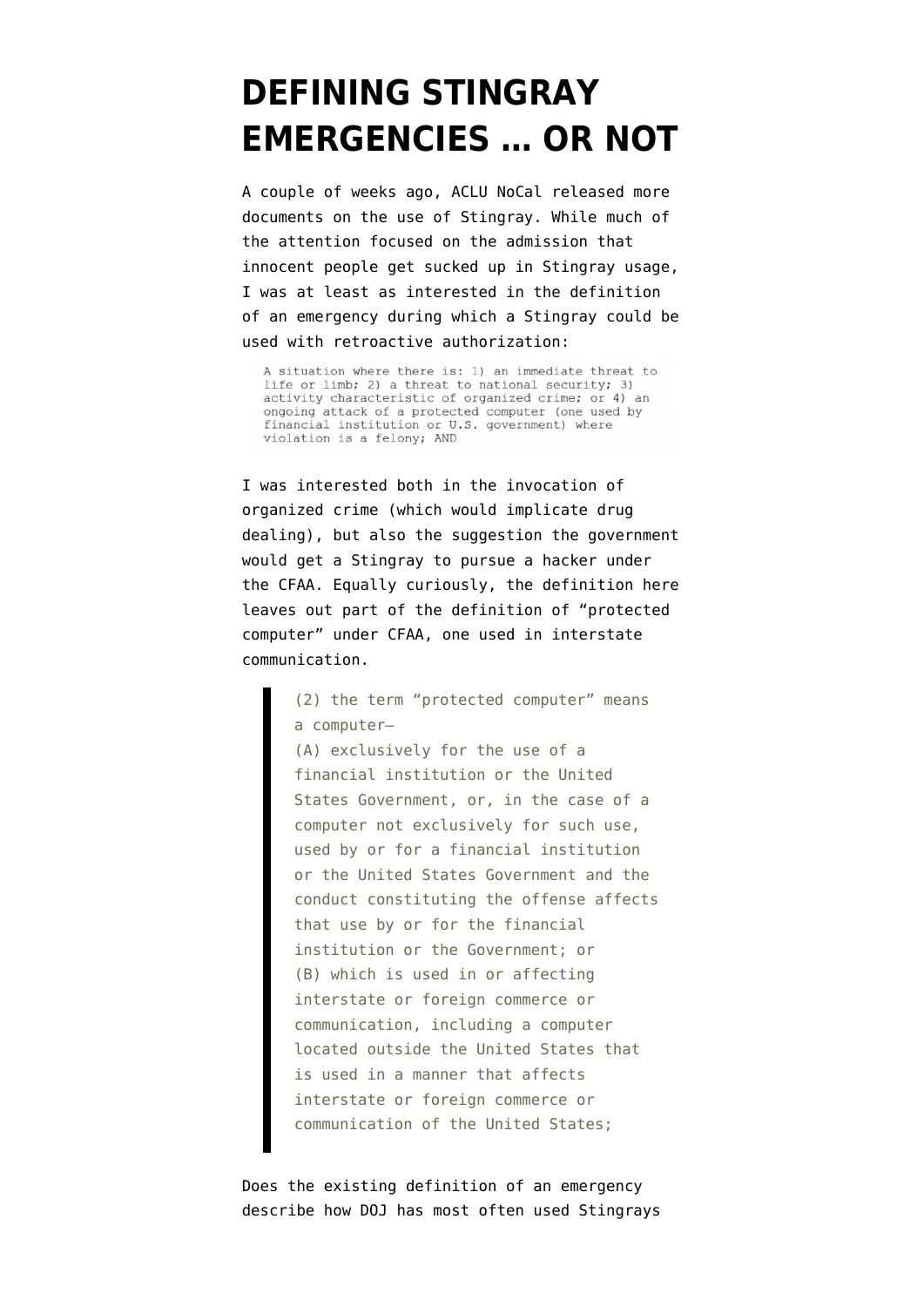## **[DEFINING STINGRAY](https://www.emptywheel.net/2015/11/08/defining-emergency-or-not/) [EMERGENCIES … OR NOT](https://www.emptywheel.net/2015/11/08/defining-emergency-or-not/)**

A couple of weeks ago, ACLU NoCal released [more](https://www.aclunc.org/blog/new-docs-doj-admits-stingrays-spy-innocent-bystanders?) [documents](https://www.aclunc.org/blog/new-docs-doj-admits-stingrays-spy-innocent-bystanders?) on the use of Stingray. While much of the attention focused on the admission that innocent people get sucked up in Stingray usage, I was at least as interested in the [definition](https://www.aclunc.org/docs/20151027-crm_lye.pdf#page=2) [of an emergency](https://www.aclunc.org/docs/20151027-crm_lye.pdf#page=2) during which a Stingray could be used with retroactive authorization:

A situation where there is: 1) an immediate threat to life or limb; 2) a threat to national security; 3) activity characteristic of organized crime; or 4) an ongoing attack of a protected computer (one used by financial institution or U.S. government) where violation is a felony; AND

I was interested both in the invocation of organized crime (which would implicate drug dealing), but also the suggestion the government would get a Stingray to pursue a hacker under the CFAA. Equally curiously, the definition here leaves out part of the definition of "protected computer" under CFAA, one used in interstate communication.

> (2) the term "protected computer" means a computer—

(A) exclusively for the use of a financial institution or the United States Government, or, in the case of a computer not exclusively for such use, used by or for a financial institution or the United States Government and the conduct constituting the offense affects that use by or for the financial institution or the Government; or (B) which is used in or affecting interstate or foreign commerce or communication, including a computer located outside the United States that is used in a manner that affects interstate or foreign commerce or communication of the United States;

Does the existing definition of an emergency describe how DOJ has most often used Stingrays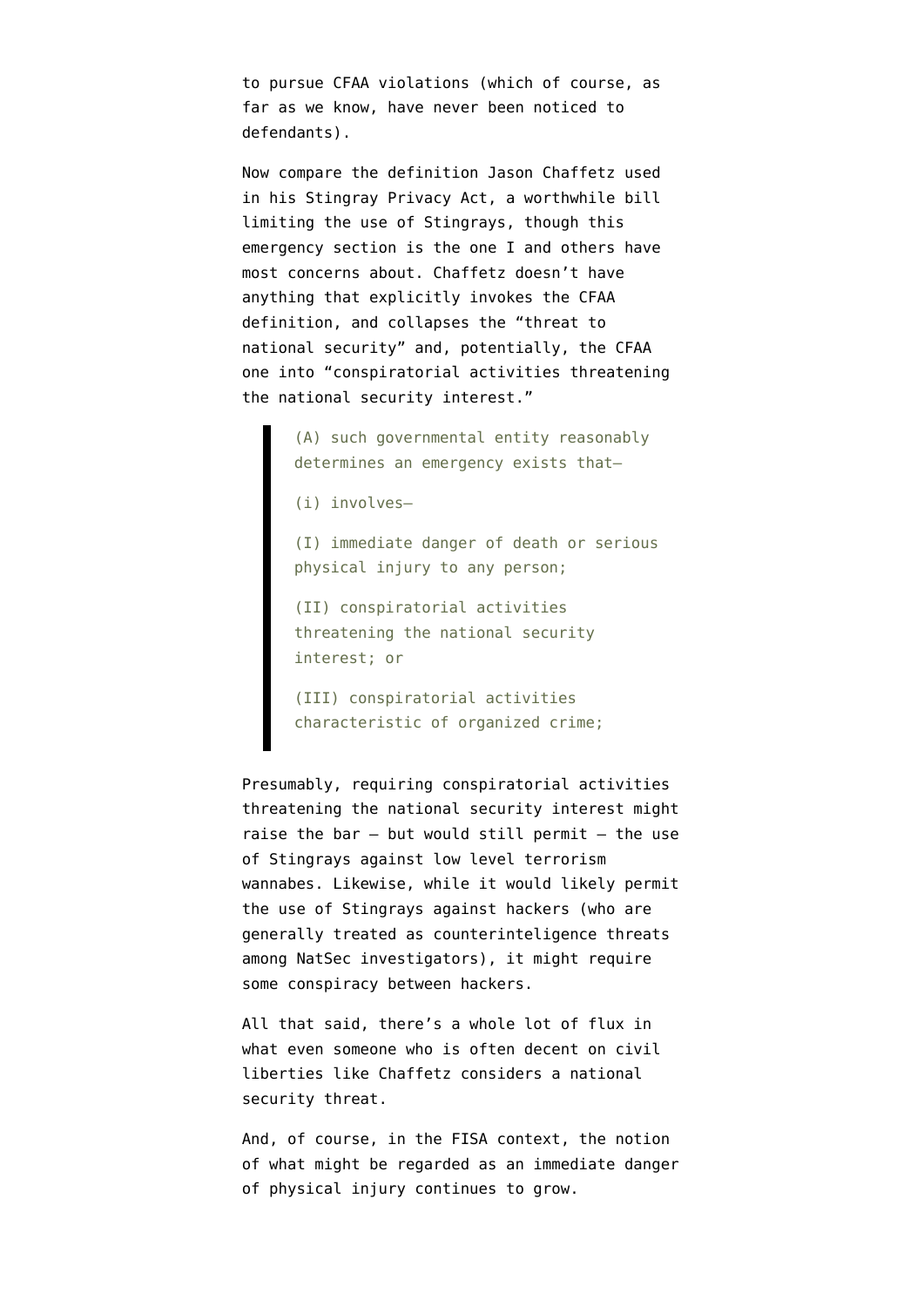to pursue CFAA violations (which of course, as far as we know, have never been noticed to defendants).

Now compare the definition Jason Chaffetz used in his [Stingray Privacy Act](http://chaffetz.house.gov/sites/chaffetz.house.gov/files/Cell%20Site%20Simulator%20Bill.pdf), a worthwhile bill limiting the use of Stingrays, though this emergency section is the one I and others have most concerns about. Chaffetz doesn't have anything that explicitly invokes the CFAA definition, and collapses the "threat to national security" and, potentially, the CFAA one into "conspiratorial activities threatening the national security interest."

> (A) such governmental entity reasonably determines an emergency exists that—

(i) involves—

(I) immediate danger of death or serious physical injury to any person;

(II) conspiratorial activities threatening the national security interest; or

(III) conspiratorial activities characteristic of organized crime;

Presumably, requiring conspiratorial activities threatening the national security interest might raise the bar  $-$  but would still permit  $-$  the use of Stingrays against low level terrorism wannabes. Likewise, while it would likely permit the use of Stingrays against hackers (who are generally treated as counterinteligence threats among NatSec investigators), it might require some conspiracy between hackers.

All that said, there's a whole lot of flux in what even someone who is often decent on civil liberties like Chaffetz considers a national security threat.

And, of course, in the FISA context, the notion of what might be regarded as an immediate danger of physical injury [continues to grow](https://www.emptywheel.net/2015/11/05/kiddie-porn-computer-and-building-destruction-and-section-702/).